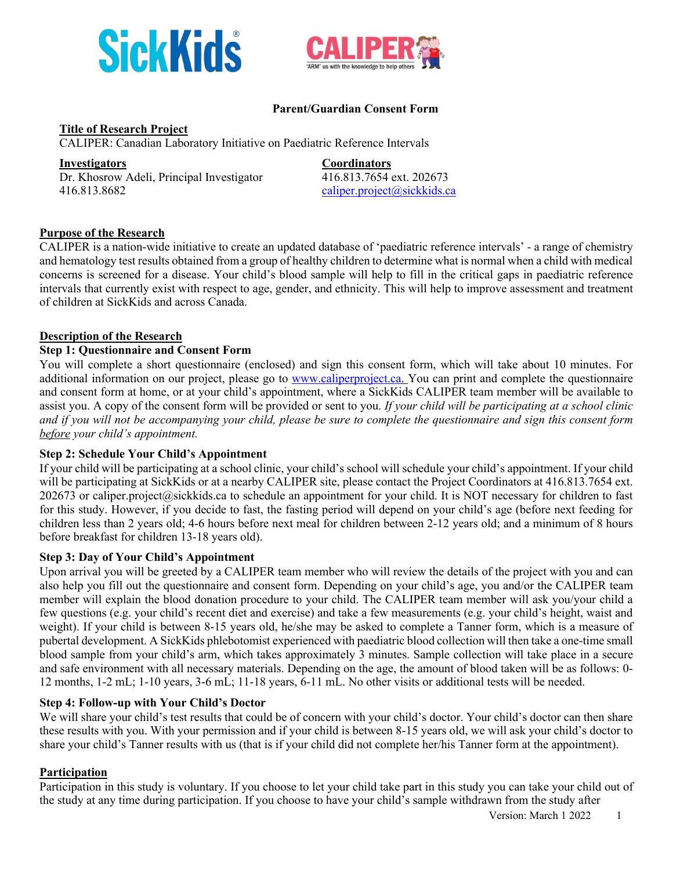



#### **Parent/Guardian Consent Form**

**Title of Research Project**

CALIPER: Canadian Laboratory Initiative on Paediatric Reference Intervals

**Investigators Coordinators** Dr. Khosrow Adeli, Principal Investigator 416.813.7654 ext. 202673 416.813.8682 caliper.project@sickkids.ca

## **Purpose of the Research**

CALIPER is a nation-wide initiative to create an updated database of 'paediatric reference intervals' - a range of chemistry and hematology test results obtained from a group of healthy children to determine what is normal when a child with medical concerns is screened for a disease. Your child's blood sample will help to fill in the critical gaps in paediatric reference intervals that currently exist with respect to age, gender, and ethnicity. This will help to improve assessment and treatment of children at SickKids and across Canada.

#### **Description of the Research**

#### **Step 1: Questionnaire and Consent Form**

You will complete a short questionnaire (enclosed) and sign this consent form, which will take about 10 minutes. For additional information on our project, please go to www.caliperproject.ca. You can print and complete the questionnaire and consent form at home, or at your child's appointment, where a SickKids CALIPER team member will be available to assist you. A copy of the consent form will be provided or sent to you. *If your child will be participating at a school clinic and if you will not be accompanying your child, please be sure to complete the questionnaire and sign this consent form before your child's appointment.*

#### **Step 2: Schedule Your Child's Appointment**

If your child will be participating at a school clinic, your child's school will schedule your child's appointment. If your child will be participating at SickKids or at a nearby CALIPER site, please contact the Project Coordinators at 416.813.7654 ext. 202673 or caliper.project@sickkids.ca to schedule an appointment for your child. It is NOT necessary for children to fast for this study. However, if you decide to fast, the fasting period will depend on your child's age (before next feeding for children less than 2 years old; 4-6 hours before next meal for children between 2-12 years old; and a minimum of 8 hours before breakfast for children 13-18 years old).

#### **Step 3: Day of Your Child's Appointment**

Upon arrival you will be greeted by a CALIPER team member who will review the details of the project with you and can also help you fill out the questionnaire and consent form. Depending on your child's age, you and/or the CALIPER team member will explain the blood donation procedure to your child. The CALIPER team member will ask you/your child a few questions (e.g. your child's recent diet and exercise) and take a few measurements (e.g. your child's height, waist and weight). If your child is between 8-15 years old, he/she may be asked to complete a Tanner form, which is a measure of pubertal development. A SickKids phlebotomist experienced with paediatric blood collection will then take a one-time small blood sample from your child's arm, which takes approximately 3 minutes. Sample collection will take place in a secure and safe environment with all necessary materials. Depending on the age, the amount of blood taken will be as follows: 0- 12 months, 1-2 mL; 1-10 years, 3-6 mL; 11-18 years, 6-11 mL. No other visits or additional tests will be needed.

#### **Step 4: Follow-up with Your Child's Doctor**

We will share your child's test results that could be of concern with your child's doctor. Your child's doctor can then share these results with you. With your permission and if your child is between 8-15 years old, we will ask your child's doctor to share your child's Tanner results with us (that is if your child did not complete her/his Tanner form at the appointment).

#### **Participation**

Participation in this study is voluntary. If you choose to let your child take part in this study you can take your child out of the study at any time during participation. If you choose to have your child's sample withdrawn from the study after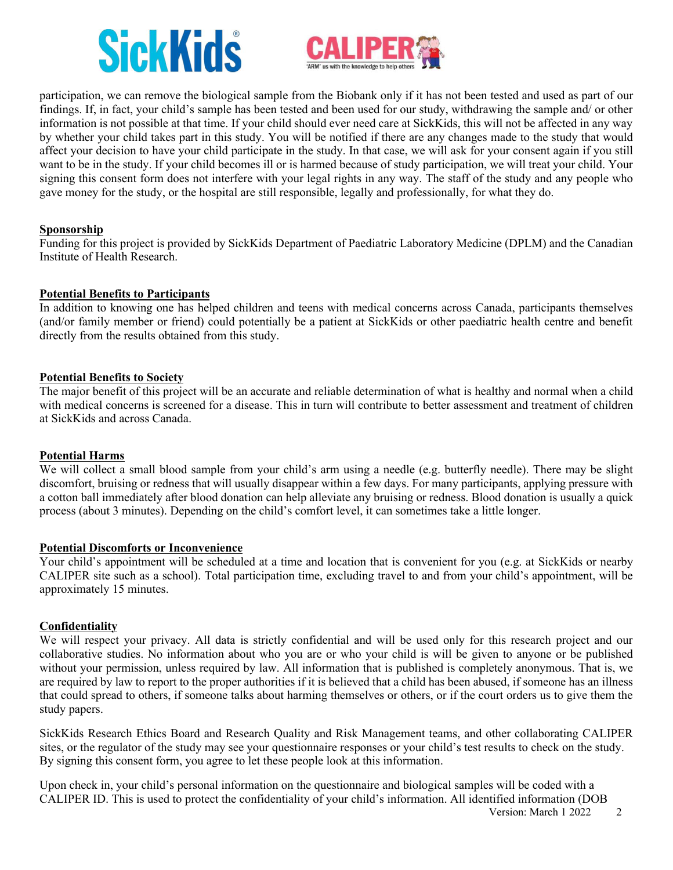## **SickKids**



participation, we can remove the biological sample from the Biobank only if it has not been tested and used as part of our findings. If, in fact, your child's sample has been tested and been used for our study, withdrawing the sample and/ or other information is not possible at that time. If your child should ever need care at SickKids, this will not be affected in any way by whether your child takes part in this study. You will be notified if there are any changes made to the study that would affect your decision to have your child participate in the study. In that case, we will ask for your consent again if you still want to be in the study. If your child becomes ill or is harmed because of study participation, we will treat your child. Your signing this consent form does not interfere with your legal rights in any way. The staff of the study and any people who gave money for the study, or the hospital are still responsible, legally and professionally, for what they do.

#### **Sponsorship**

Funding for this project is provided by SickKids Department of Paediatric Laboratory Medicine (DPLM) and the Canadian Institute of Health Research.

#### **Potential Benefits to Participants**

In addition to knowing one has helped children and teens with medical concerns across Canada, participants themselves (and/or family member or friend) could potentially be a patient at SickKids or other paediatric health centre and benefit directly from the results obtained from this study.

#### **Potential Benefits to Society**

The major benefit of this project will be an accurate and reliable determination of what is healthy and normal when a child with medical concerns is screened for a disease. This in turn will contribute to better assessment and treatment of children at SickKids and across Canada.

#### **Potential Harms**

We will collect a small blood sample from your child's arm using a needle (e.g. butterfly needle). There may be slight discomfort, bruising or redness that will usually disappear within a few days. For many participants, applying pressure with a cotton ball immediately after blood donation can help alleviate any bruising or redness. Blood donation is usually a quick process (about 3 minutes). Depending on the child's comfort level, it can sometimes take a little longer.

#### **Potential Discomforts or Inconvenience**

Your child's appointment will be scheduled at a time and location that is convenient for you (e.g. at SickKids or nearby CALIPER site such as a school). Total participation time, excluding travel to and from your child's appointment, will be approximately 15 minutes.

#### **Confidentiality**

We will respect your privacy. All data is strictly confidential and will be used only for this research project and our collaborative studies. No information about who you are or who your child is will be given to anyone or be published without your permission, unless required by law. All information that is published is completely anonymous. That is, we are required by law to report to the proper authorities if it is believed that a child has been abused, if someone has an illness that could spread to others, if someone talks about harming themselves or others, or if the court orders us to give them the study papers.

SickKids Research Ethics Board and Research Quality and Risk Management teams, and other collaborating CALIPER sites, or the regulator of the study may see your questionnaire responses or your child's test results to check on the study. By signing this consent form, you agree to let these people look at this information.

Upon check in, your child's personal information on the questionnaire and biological samples will be coded with a CALIPER ID. This is used to protect the confidentiality of your child's information. All identified information (DOB

Version: March  $1\,2022\,2$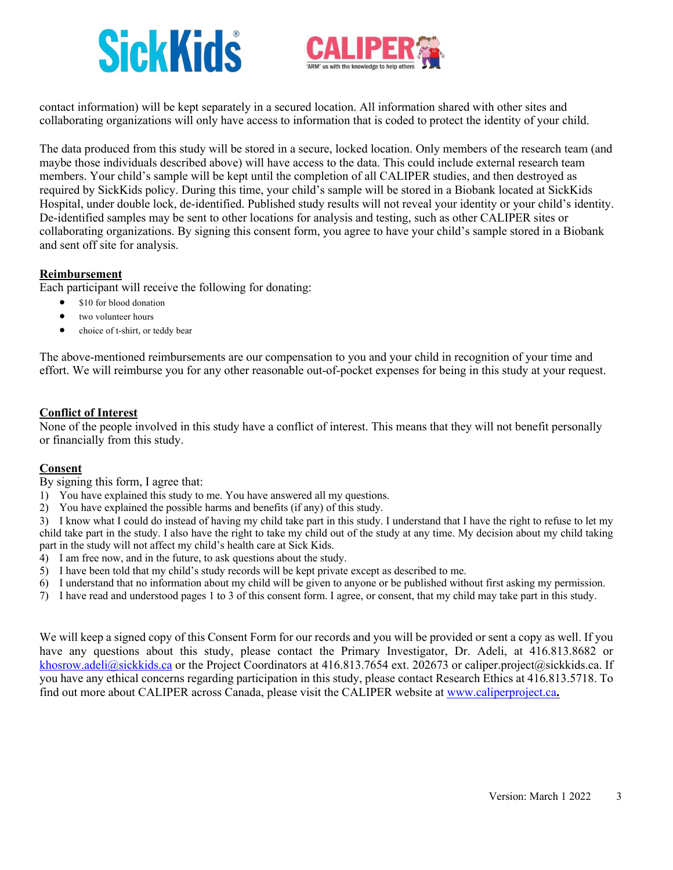# **SickKids**



contact information) will be kept separately in a secured location. All information shared with other sites and collaborating organizations will only have access to information that is coded to protect the identity of your child.

The data produced from this study will be stored in a secure, locked location. Only members of the research team (and maybe those individuals described above) will have access to the data. This could include external research team members. Your child's sample will be kept until the completion of all CALIPER studies, and then destroyed as required by SickKids policy. During this time, your child's sample will be stored in a Biobank located at SickKids Hospital, under double lock, de-identified. Published study results will not reveal your identity or your child's identity. De-identified samples may be sent to other locations for analysis and testing, such as other CALIPER sites or collaborating organizations. By signing this consent form, you agree to have your child's sample stored in a Biobank and sent off site for analysis.

#### **Reimbursement**

Each participant will receive the following for donating:

- \$10 for blood donation
- two volunteer hours
- choice of t-shirt, or teddy bear

The above-mentioned reimbursements are our compensation to you and your child in recognition of your time and effort. We will reimburse you for any other reasonable out-of-pocket expenses for being in this study at your request.

## **Conflict of Interest**

None of the people involved in this study have a conflict of interest. This means that they will not benefit personally or financially from this study.

## **Consent**

By signing this form, I agree that:

- 1) You have explained this study to me. You have answered all my questions.
- 2) You have explained the possible harms and benefits (if any) of this study.

3) I know what I could do instead of having my child take part in this study. I understand that I have the right to refuse to let my child take part in the study. I also have the right to take my child out of the study at any time. My decision about my child taking part in the study will not affect my child's health care at Sick Kids.

- 4) I am free now, and in the future, to ask questions about the study.
- 5) I have been told that my child's study records will be kept private except as described to me.
- 6) I understand that no information about my child will be given to anyone or be published without first asking my permission.
- 7) I have read and understood pages 1 to 3 of this consent form. I agree, or consent, that my child may take part in this study.

We will keep a signed copy of this Consent Form for our records and you will be provided or sent a copy as well. If you have any questions about this study, please contact the Primary Investigator, Dr. Adeli, at 416.813.8682 or khosrow.adeli@sickkids.ca or the Project Coordinators at 416.813.7654 ext. 202673 or caliper.project@sickkids.ca. If you have any ethical concerns regarding participation in this study, please contact Research Ethics at 416.813.5718. To find out more about CALIPER across Canada, please visit the CALIPER website at www.caliperproject.ca**.**